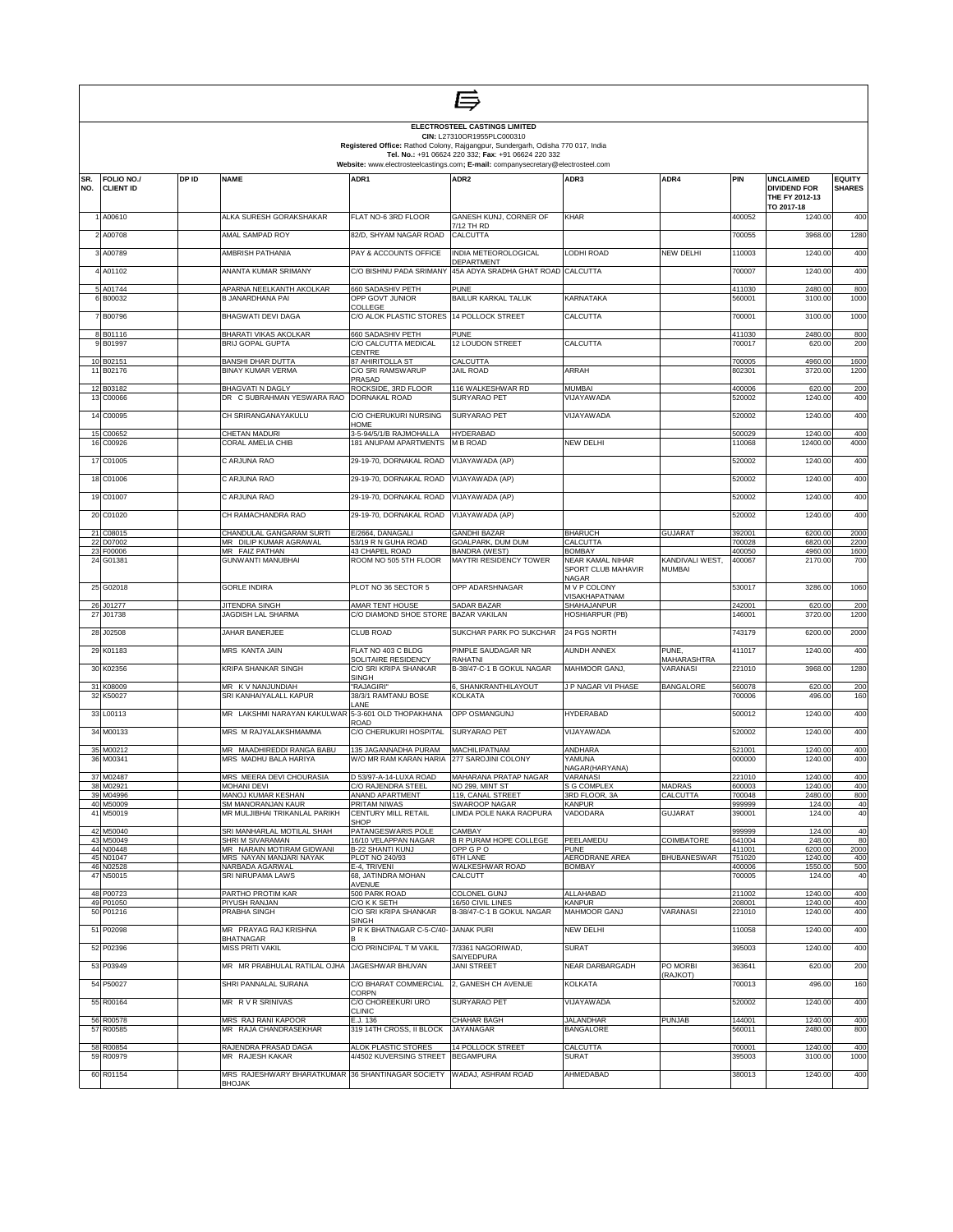|            |                                |       |                                                      |                                                               | ELECTROSTEEL CASTINGS LIMITED<br>CIN: L27310OR1955PLC000310                                                                            |                                          |                      |                  |                                                           |                                |
|------------|--------------------------------|-------|------------------------------------------------------|---------------------------------------------------------------|----------------------------------------------------------------------------------------------------------------------------------------|------------------------------------------|----------------------|------------------|-----------------------------------------------------------|--------------------------------|
|            |                                |       |                                                      |                                                               | Registered Office: Rathod Colony, Rajgangpur, Sundergarh, Odisha 770 017, India<br>Tel. No.: +91 06624 220 332; Fax: +91 06624 220 332 |                                          |                      |                  |                                                           |                                |
|            |                                |       |                                                      |                                                               | Website: www.electrosteelcastings.com; E-mail: companysecretary@electrosteel.com                                                       |                                          |                      |                  |                                                           |                                |
| SR.<br>NO. | FOLIO NO./<br><b>CLIENT ID</b> | DP ID | <b>NAME</b>                                          | ADR1                                                          | ADR <sub>2</sub>                                                                                                                       | ADR3                                     | ADR4                 | PIN              | <b>UNCLAIMED</b><br><b>DIVIDEND FOR</b><br>THE FY 2012-13 | <b>EQUITY</b><br><b>SHARES</b> |
|            | 1 A00610                       |       | ALKA SURESH GORAKSHAKAR                              | FLAT NO-6 3RD FLOOR                                           | GANESH KUNJ, CORNER OF<br>7/12 TH RD                                                                                                   | KHAR                                     |                      | 400052           | TO 2017-18<br>1240.00                                     | 400                            |
|            | 2 A00708                       |       | AMAL SAMPAD ROY                                      | 82/D, SHYAM NAGAR ROAD                                        | CALCUTTA                                                                                                                               |                                          |                      | 700055           | 3968.00                                                   | 1280                           |
|            | 3 A00789                       |       | AMBRISH PATHANIA                                     | PAY & ACCOUNTS OFFICE                                         | INDIA METEOROLOGICAL<br>DEPARTMENT                                                                                                     | LODHI ROAD                               | NEW DELHI            | 110003           | 1240.00                                                   | 400                            |
|            | 4 A01102                       |       | ANANTA KUMAR SRIMANY                                 | C/O BISHNU PADA SRIMANY                                       | 45A ADYA SRADHA GHAT ROAD CALCUTTA                                                                                                     |                                          |                      | 700007           | 1240.00                                                   | 400                            |
|            | 5 A01744<br>6 B00032           |       | APARNA NEELKANTH AKOLKAR<br>B JANARDHANA PAI         | 660 SADASHIV PETH<br>OPP GOVT JUNIOR<br>COLLEGE               | <b>PUNE</b><br><b>BAILUR KARKAL TALUK</b>                                                                                              | KARNATAKA                                |                      | 411030<br>560001 | 2480.00<br>3100.00                                        | 800<br>1000                    |
|            | 7 B00796                       |       | <b>BHAGWATI DEVI DAGA</b>                            | C/O ALOK PLASTIC STORES 14 POLLOCK STREET                     |                                                                                                                                        | CALCUTTA                                 |                      | 700001           | 3100.00                                                   | 1000                           |
|            | 8 B01116<br>9 B01997           |       | BHARATI VIKAS AKOLKAR<br><b>BRIJ GOPAL GUPTA</b>     | 660 SADASHIV PETH<br>C/O CALCUTTA MEDICAL<br>CENTRE           | <b>PUNE</b><br>12 LOUDON STREET                                                                                                        | CALCUTTA                                 |                      | 411030<br>700017 | 2480.00<br>620.00                                         | 800<br>200                     |
|            | 10 B02151<br>11 B02176         |       | <b>BANSHI DHAR DUTTA</b><br><b>BINAY KUMAR VERMA</b> | 87 AHIRITOLLA ST<br>C/O SRI RAMSWARUP                         | CALCUTTA<br><b>JAIL ROAD</b>                                                                                                           | ARRAH                                    |                      | 700005<br>802301 | 4960.00<br>3720.00                                        | 1600<br>1200                   |
|            | 12 B03182                      |       | <b>BHAGVATI N DAGLY</b>                              | PRASAD<br>ROCKSIDE, 3RD FLOOR                                 | 116 WALKESHWAR RD                                                                                                                      | <b>MUMBAI</b>                            |                      | 400006           | 620.00                                                    | 200                            |
|            | 13 C00066                      |       | DR C SUBRAHMAN YESWARA RAO                           | DORNAKAL ROAD                                                 | SURYARAO PET                                                                                                                           | VIJAYAWADA                               |                      | 520002           | 1240.00                                                   | 400                            |
|            | 14 C00095                      |       | CH SRIRANGANAYAKULU                                  | C/O CHERUKURI NURSING<br>HOME                                 | SURYARAO PET                                                                                                                           | VIJAYAWADA                               |                      | 520002           | 1240.00                                                   | 400                            |
| 15         | C00652<br>16 C00926            |       | CHETAN MADURI<br>CORAL AMELIA CHIB                   | 3-5-94/5/1/B RAJMOHALLA<br>181 ANUPAM APARTMENTS              | <b>HYDERABAD</b><br>M B ROAD                                                                                                           | NEW DELHI                                |                      | 500029<br>110068 | 1240.00<br>12400.00                                       | 400<br>4000                    |
|            | 17 C01005                      |       | C ARJUNA RAO                                         | 29-19-70, DORNAKAL ROAD                                       | VIJAYAWADA (AP)                                                                                                                        |                                          |                      | 520002           | 1240.00                                                   | 400                            |
|            | 18 C01006                      |       | C ARJUNA RAO                                         | 29-19-70, DORNAKAL ROAD                                       | VIJAYAWADA (AP)                                                                                                                        |                                          |                      | 520002           | 1240.00                                                   | 400                            |
|            | 19 C01007                      |       | C ARJUNA RAO                                         | 29-19-70, DORNAKAL ROAD                                       | VIJAYAWADA (AP)                                                                                                                        |                                          |                      | 520002           | 1240.00                                                   | 400                            |
|            | 20 C01020                      |       | CH RAMACHANDRA RAO                                   | 29-19-70, DORNAKAL ROAD VIJAYAWADA (AP)                       |                                                                                                                                        |                                          |                      | 520002           | 1240.00                                                   | 400                            |
| 22         | 21 C08015<br>D07002            |       | CHANDULAL GANGARAM SURTI<br>MR DILIP KUMAR AGRAWAL   | E/2664, DANAGALI<br>53/19 R N GUHA ROAD                       | <b>GANDHI BAZAR</b><br>GOALPARK, DUM DUM                                                                                               | <b>BHARUCH</b><br>CALCUTTA               | <b>GUJARAT</b>       | 392001<br>700028 | 6200.00<br>6820.00                                        | 2000<br>2200                   |
|            | 23 F00006<br>24 G01381         |       | MR FAIZ PATHAN<br><b>GUNWANTI MANUBHAI</b>           | 43 CHAPEL ROAD<br>ROOM NO 505 5TH FLOOR                       | <b>BANDRA (WEST)</b><br><b>MAYTRI RESIDENCY TOWER</b>                                                                                  | <b>BOMBAY</b><br><b>NEAR KAMAL NIHAR</b> | KANDIVALI WEST,      | 400050<br>400067 | 4960.00<br>2170.00                                        | 1600<br>700                    |
|            |                                |       |                                                      |                                                               |                                                                                                                                        | SPORT CLUB MAHAVIR<br>NAGAR              | <b>MUMBAI</b>        |                  |                                                           |                                |
|            | 25 G02018                      |       | <b>GORLE INDIRA</b>                                  | PLOT NO 36 SECTOR 5                                           | OPP ADARSHNAGAR                                                                                                                        | M V P COLONY<br>VISAKHAPATNAM            |                      | 530017           | 3286.00                                                   | 1060                           |
| 27         | 26 J01277<br>J01738            |       | JITENDRA SINGH<br>JAGDISH LAL SHARMA                 | AMAR TENT HOUSE<br>C/O DIAMOND SHOE STORE BAZAR VAKILAN       | SADAR BAZAR                                                                                                                            | SHAHAJANPUR<br>HOSHIARPUR (PB)           |                      | 242001<br>146001 | 620.00<br>3720.00                                         | 200<br>1200                    |
|            | 28 J02508                      |       | JAHAR BANERJEE                                       | <b>CLUB ROAD</b>                                              | SUKCHAR PARK PO SUKCHAR                                                                                                                | 24 PGS NORTH                             |                      | 743179           | 6200.00                                                   | 2000                           |
|            | 29 K01183                      |       | MRS KANTA JAIN                                       | FLAT NO 403 C BLDG<br>SOLITAIRE RESIDENCY                     | PIMPLE SAUDAGAR NR<br><b>RAHATNI</b>                                                                                                   | <b>AUNDH ANNEX</b>                       | PUNE,<br>MAHARASHTRA | 411017           | 1240.00                                                   | 400                            |
|            | 30 K02356                      |       | KRIPA SHANKAR SINGH                                  | C/O SRI KRIPA SHANKAR<br><b>SINGH</b>                         | B-38/47-C-1 B GOKUL NAGAR                                                                                                              | MAHMOOR GANJ.                            | VARANASI             | 221010           | 3968.00                                                   | 1280                           |
|            | 31 K08009<br>32 K50027         |       | MR K V NANJUNDIAH<br>SRI KANHAIYALALL KAPUR          | 'RAJAGIRI"<br>38/3/1 RAMTANU BOSE<br>LANE                     | 6. SHANKRANTHILAYOUT<br><b>KOLKATA</b>                                                                                                 | J P NAGAR VII PHASE                      | <b>BANGALORE</b>     | 560078<br>700006 | 620.00<br>496.00                                          | 200<br>160                     |
|            | 33 L00113                      |       | MR LAKSHMI NARAYAN KAKULWAR                          | 5-3-601 OLD THOPAKHANA<br>ROAD                                | OPP OSMANGUNJ                                                                                                                          | <b>HYDERABAD</b>                         |                      | 500012           | 1240.00                                                   | 400                            |
|            | 34 M00133                      |       | MRS M RAJYALAKSHMAMMA                                | C/O CHERUKURI HOSPITAL                                        | SURYARAO PET                                                                                                                           | VIJAYAWADA                               |                      | 520002           | 1240.00                                                   | 400                            |
|            | 35 M00212<br>36 M00341         |       | MR MAADHIREDDI RANGA BABU<br>MRS MADHU BALA HARIYA   | 135 JAGANNADHA PURAM<br>W/O MR RAM KARAN HARIA                | <b>MACHILIPATNAM</b><br>277 SAROJINI COLONY                                                                                            | ANDHARA<br>YAMUNA<br>NAGAR(HARYANA)      |                      | 521001<br>000000 | 1240.00<br>1240.00                                        | 400<br>400                     |
|            | 37 M02487                      |       | MRS MEERA DEVI CHOURASIA                             | D 53/97-A-14-LUXA ROAD                                        | MAHARANA PRATAP NAGAR                                                                                                                  | VARANASI                                 |                      | 221010           | 1240.00                                                   | 400                            |
|            | 38 M02921<br>39 M04996         |       | MOHANI DEVI<br>MANOJ KUMAR KESHAN                    | C/O RAJENDRA STEEL<br>ANAND APARTMENT                         | NO 299, MINT ST<br>119, CANAL STREET                                                                                                   | S G COMPLEX<br>3RD FLOOR, 3A             | MADRAS<br>CALCUTTA   | 600003<br>700048 | 1240.00<br>2480.00                                        | 400<br>800                     |
|            | 40 M50009<br>41 M50019         |       | SM MANORANJAN KAUR<br>MR MULJIBHAI TRIKANLAL PARIKH  | <b>PRITAM NIWAS</b><br>CENTURY MILL RETAIL<br><b>SHOP</b>     | SWAROOP NAGAR<br>LIMDA POLE NAKA RAOPURA                                                                                               | KANPUR<br>VADODARA                       | <b>GUJARAT</b>       | 999999<br>390001 | 124.00<br>124.00                                          | 40<br>40                       |
|            | 42 M50040                      |       | SRI MANHARLAL MOTILAL SHAH                           | PATANGESWARIS POLE<br>16/10 VELAPPAN NAGAR                    | CAMBAY<br><b>B R PURAM HOPE COLLEGE</b>                                                                                                | PEELAMEDU                                |                      | 999999           | 124.00                                                    | 40                             |
|            | 43 M50049<br>44 N00448         |       | SHRI M SIVARAMAN<br>MR NARAIN MOTIRAM GIDWANI        | <b>B-22 SHANTI KUNJ</b>                                       | <b>OPP G P O</b>                                                                                                                       | <b>PUNE</b>                              | COIMBATORE           | 641004<br>411001 | 248.00<br>6200.00                                         | 80<br>2000                     |
|            | 45 N01047<br>46 N02528         |       | MRS NAYAN MANJARI NAYAK<br>NARBADA AGARWAL           | PLOT NO 240/93<br>E-4, TRIVENI                                | 6TH LANE<br>WALKESHWAR ROAD                                                                                                            | <b>AERODRANE AREA</b><br><b>BOMBAY</b>   | <b>BHUBANESWAR</b>   | 751020<br>400006 | 1240.00<br>1550.00                                        | 400<br>500                     |
|            | 47 N50015<br>48 P00723         |       | SRI NIRUPAMA LAWS<br>PARTHO PROTIM KAR               | 68, JATINDRA MOHAN<br>AVENUE<br>500 PARK ROAD                 | CALCUTT<br>COLONEL GUNJ                                                                                                                | <b>ALLAHABAD</b>                         |                      | 700005<br>211002 | 124.00<br>1240.00                                         | 40<br>400                      |
|            | 49 P01050                      |       | PIYUSH RANJAN                                        | C/O K K SETH                                                  | 16/50 CIVIL LINES                                                                                                                      | <b>KANPUR</b>                            |                      | 208001           | 1240.00                                                   | 400                            |
|            | 50 P01216                      |       | PRABHA SINGH                                         | C/O SRI KRIPA SHANKAR<br><b>SINGH</b>                         | B-38/47-C-1 B GOKUL NAGAR                                                                                                              | <b>MAHMOOR GANJ</b>                      | <b>VARANASI</b>      | 221010           | 1240.00                                                   | 400                            |
|            | 51 P02098                      |       | MR PRAYAG RAJ KRISHNA<br><b>BHATNAGAR</b>            | P R K BHATNAGAR C-5-C/40-                                     | <b>JANAK PURI</b>                                                                                                                      | <b>NEW DELHI</b>                         |                      | 110058           | 1240.00                                                   | 400                            |
|            | 52 P02396                      |       | MISS PRITI VAKIL                                     | C/O PRINCIPAL T M VAKIL                                       | 7/3361 NAGORIWAD,<br>SAIYEDPURA                                                                                                        | <b>SURAT</b>                             | PO MORBI             | 395003           | 1240.00                                                   | 400                            |
|            | 53 P03949<br>54 P50027         |       | MR MR PRABHULAL RATILAL OJHA<br>SHRI PANNALAL SURANA | JAGESHWAR BHUVAN<br>C/O BHARAT COMMERCIAL 2, GANESH CH AVENUE | <b>JANI STREET</b>                                                                                                                     | <b>NEAR DARBARGADH</b><br><b>KOLKATA</b> | (RAJKOT)             | 363641<br>700013 | 620.00<br>496.00                                          | 200<br>160                     |
|            | 55 R00164                      |       | MR R V R SRINIVAS                                    | CORPN<br>C/O CHOREEKURI URO                                   | SURYARAO PET                                                                                                                           | VIJAYAWADA                               |                      | 520002           | 1240.00                                                   | 400                            |
|            | 56 R00578                      |       | MRS RAJ RANI KAPOOR                                  | <b>CLINIC</b><br>E.J. 136                                     | CHAHAR BAGH                                                                                                                            | <b>JALANDHAR</b>                         | <b>PUNJAB</b>        | 144001           | 1240.00                                                   | 400                            |
|            | 57 R00585                      |       | MR RAJA CHANDRASEKHAR                                | 319 14TH CROSS, II BLOCK                                      | JAYANAGAR                                                                                                                              | <b>BANGALORE</b>                         |                      | 560011           | 2480.00                                                   | 800                            |
|            | 58 R00854<br>59 R00979         |       | RAJENDRA PRASAD DAGA<br>MR RAJESH KAKAR              | ALOK PLASTIC STORES<br>4/4502 KUVERSING STREET BEGAMPURA      | <b>14 POLLOCK STREET</b>                                                                                                               | CALCUTTA<br><b>SURAT</b>                 |                      | 700001<br>395003 | 1240.00<br>3100.00                                        | 400<br>1000                    |
|            | 60 R01154                      |       | MRS RAJESHWARY BHARATKUMAR 36 SHANTINAGAR SOCIETY    |                                                               | WADAJ, ASHRAM ROAD                                                                                                                     | AHMEDABAD                                |                      | 380013           | 1240.00                                                   | 400                            |
|            |                                |       | <b>BHOJAK</b>                                        |                                                               |                                                                                                                                        |                                          |                      |                  |                                                           |                                |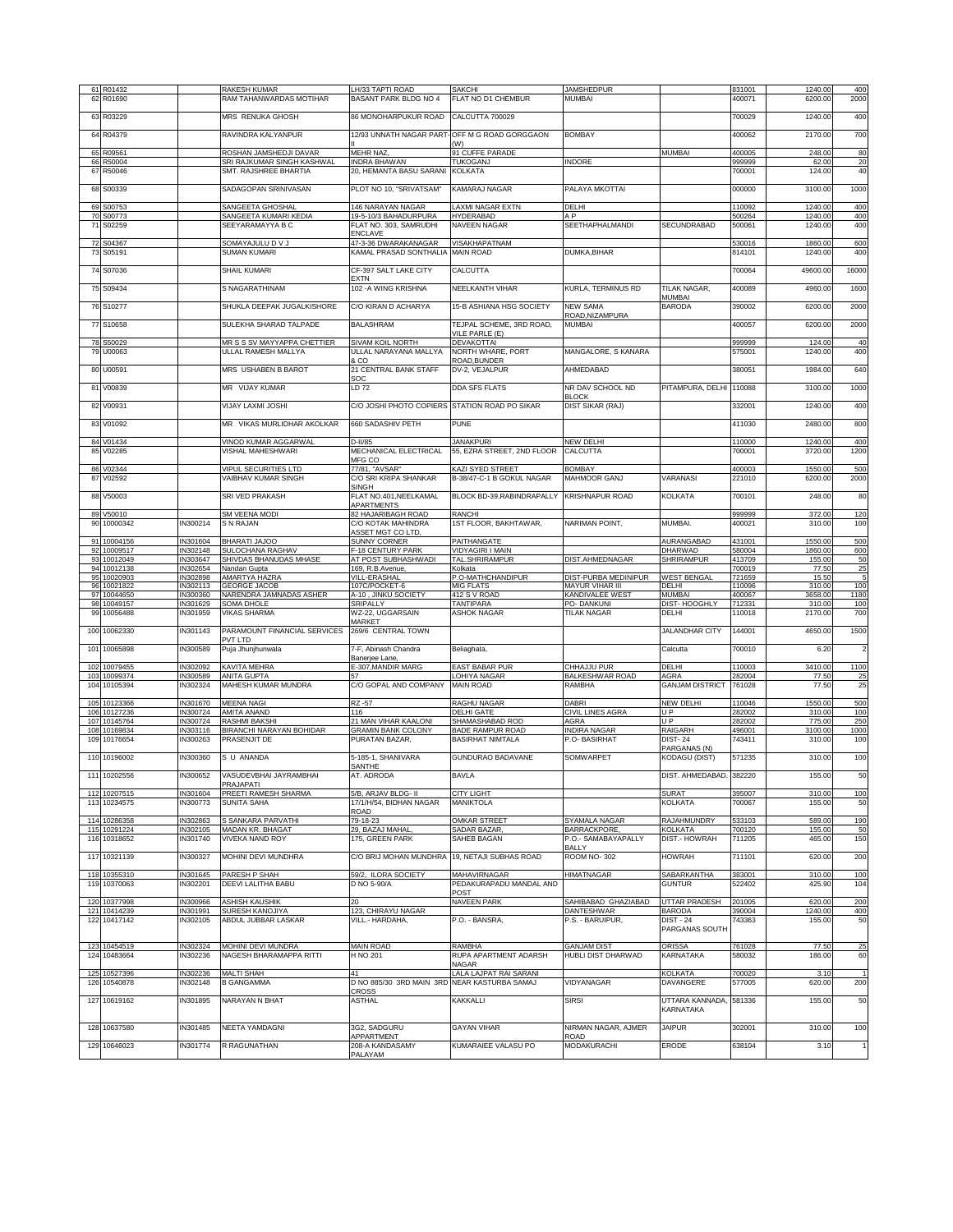| 61 R01432                        |                      |                                            | LH/33 TAPTI ROAD                               |                                               |                                    |                                   |                  |                    |                |
|----------------------------------|----------------------|--------------------------------------------|------------------------------------------------|-----------------------------------------------|------------------------------------|-----------------------------------|------------------|--------------------|----------------|
| R01690<br>62                     |                      | RAKESH KUMAR<br>RAM TAHANWARDAS MOTIHAR    | BASANT PARK BLDG NO 4                          | <b>SAKCHI</b><br>FLAT NO D1 CHEMBUR           | <b>JAMSHEDPUR</b><br><b>MUMBAI</b> |                                   | 831001<br>400071 | 1240.00<br>6200.00 | 400<br>2000    |
|                                  |                      |                                            |                                                |                                               |                                    |                                   |                  |                    |                |
| 63 R03229                        |                      | MRS RENUKA GHOSH                           | 86 MONOHARPUKUR ROAD                           | CALCUTTA 700029                               |                                    |                                   | 700029           | 1240.00            | 400            |
|                                  |                      |                                            |                                                |                                               |                                    |                                   |                  |                    |                |
| R04379<br>64                     |                      | RAVINDRA KALYANPUR                         |                                                | 12/93 UNNATH NAGAR PART-OFF M G ROAD GORGGAON | <b>BOMBAY</b>                      |                                   | 400062           | 2170.00            | 700            |
|                                  |                      |                                            |                                                | (W)                                           |                                    |                                   |                  |                    |                |
| 65<br>R09561                     |                      | ROSHAN JAMSHEDJI DAVAR                     | <b>MEHR NAZ</b>                                | 91 CUFFE PARADE                               |                                    | <b>MUMBAI</b>                     | 400005           | 248.00             | 80             |
| 66 R50004                        |                      | SRI RAJKUMAR SINGH KASHWAL                 | <b>INDRA BHAWAN</b>                            | <b>TUKOGANJ</b>                               | <b>INDORE</b>                      |                                   | 999999<br>700001 | 62.00              | 20             |
| 67 R50046                        |                      | SMT. RAJSHREE BHARTIA                      | 20, HEMANTA BASU SARANI KOLKATA                |                                               |                                    |                                   |                  | 124.00             | 40             |
| S00339<br>68                     |                      | SADAGOPAN SRINIVASAN                       | PLOT NO 10, "SRIVATSAM"                        | <b>KAMARAJ NAGAR</b>                          | PALAYA MKOTTAI                     |                                   | 000000           | 3100.00            | 1000           |
|                                  |                      |                                            |                                                |                                               |                                    |                                   |                  |                    |                |
| S00753<br>69                     |                      | SANGEETA GHOSHAL                           | 146 NARAYAN NAGAR                              | <b>LAXMI NAGAR EXTN</b>                       | DELHI                              |                                   | 110092           | 1240.00            | 400            |
| 70<br>S00773                     |                      | SANGEETA KUMARI KEDIA                      | 19-5-10/3 BAHADURPURA                          | <b>HYDERABAD</b>                              | A <sub>P</sub>                     |                                   | 500264           | 1240.00            | 400            |
| 71<br>S02259                     |                      | SEEYARAMAYYA B C                           | FLAT NO. 303, SAMRUDHI<br><b>ENCLAVE</b>       | NAVEEN NAGAR                                  | SEETHAPHALMANDI                    | SECUNDRABAD                       | 500061           | 1240.00            | 400            |
| 72<br>S04367                     |                      | SOMAYAJULU D V J                           | 47-3-36 DWARAKANAGAR                           | <b>VISAKHAPATNAM</b>                          |                                    |                                   | 530016           | 1860.00            | 600            |
| 73<br>S05191                     |                      | <b>SUMAN KUMARI</b>                        | KAMAL PRASAD SONTHALIA                         | <b>MAIN ROAD</b>                              | DUMKA, BIHAR                       |                                   | 814101           | 1240.00            | 400            |
|                                  |                      |                                            |                                                |                                               |                                    |                                   |                  |                    |                |
| 74 S07036                        |                      | SHAIL KUMARI                               | CF-397 SALT LAKE CITY                          | CALCUTTA                                      |                                    |                                   | 700064           | 49600.00           | 16000          |
|                                  |                      |                                            | <b>FXTN</b>                                    |                                               |                                    |                                   |                  |                    |                |
| 75 S09434                        |                      | S NAGARATHINAM                             | 102 - A WING KRISHNA                           | NEELKANTH VIHAR                               | KURLA, TERMINUS RD                 | TILAK NAGAR,<br>MUMBAI            | 400089           | 4960.00            | 1600           |
| 76 S10277                        |                      | SHUKLA DEEPAK JUGALKISHORE                 | C/O KIRAN D ACHARYA                            | 15-B ASHIANA HSG SOCIETY                      | <b>NEW SAMA</b>                    | <b>BARODA</b>                     | 390002           | 6200.00            | 2000           |
|                                  |                      |                                            |                                                |                                               | ROAD, NIZAMPURA                    |                                   |                  |                    |                |
| 77 S10658                        |                      | SULEKHA SHARAD TALPADE                     | <b>BALASHRAM</b>                               | TEJPAL SCHEME, 3RD ROAD,                      | MUMBAI                             |                                   | 400057           | 6200.00            | 2000           |
|                                  |                      |                                            |                                                | VILE PARLE (E)                                |                                    |                                   |                  |                    |                |
| 78 S50029                        |                      | MR S S SV MAYYAPPA CHETTIER                | SIVAM KOIL NORTH                               | DEVAKOTTAI                                    |                                    |                                   | 999999           | 124.00             | 40             |
| 79 U00063                        |                      | ULLAL RAMESH MALLYA                        | ULLAL NARAYANA MALLYA                          | NORTH WHARE, PORT                             | MANGALORE, S KANARA                |                                   | 575001           | 1240.00            | 400            |
| 80 U00591                        |                      | MRS USHABEN B BAROT                        | 8.CO<br>21 CENTRAL BANK STAFF                  | ROAD, BUNDER<br>DV-2, VEJALPUR                | AHMEDABAD                          |                                   | 380051           | 1984.00            | 640            |
|                                  |                      |                                            | SOC                                            |                                               |                                    |                                   |                  |                    |                |
| V00839<br>81                     |                      | MR VIJAY KUMAR                             | LD 72                                          | <b>DDA SFS FLATS</b>                          | NR DAV SCHOOL ND                   | PITAMPURA, DELHI                  | 110088           | 3100.00            | 1000           |
|                                  |                      |                                            |                                                |                                               | <b>BLOCK</b>                       |                                   |                  |                    |                |
| V00931<br>82                     |                      | VIJAY LAXMI JOSHI                          | C/O JOSHI PHOTO COPIERS STATION ROAD PO SIKAR  |                                               | DIST SIKAR (RAJ)                   |                                   | 332001           | 1240.00            | 400            |
|                                  |                      |                                            |                                                |                                               |                                    |                                   |                  |                    |                |
| V01092<br>83                     |                      | MR VIKAS MURLIDHAR AKOLKAR                 | 660 SADASHIV PETH                              | <b>PUNE</b>                                   |                                    |                                   | 411030           | 2480.00            | 800            |
| 84<br>V01434                     |                      | VINOD KUMAR AGGARWAL                       | D-II/85                                        | <b>JANAKPURI</b>                              | NEW DELHI                          |                                   | 110000           | 1240.00            | 400            |
| 85<br>V02285                     |                      | VISHAL MAHESHWARI                          | MECHANICAL ELECTRICAL                          | 55, EZRA STREET, 2ND FLOOR                    | CALCUTTA                           |                                   | 700001           | 3720.00            | 1200           |
|                                  |                      |                                            | MFG CO                                         |                                               |                                    |                                   |                  |                    |                |
| 86 V02344                        |                      | VIPUL SECURITIES LTD                       | 77/81, "AVSAR"                                 | <b>KAZI SYED STREET</b>                       | <b>BOMBAY</b>                      |                                   | 400003           | 1550.00            | 500            |
| 87<br>V02592                     |                      | VAIBHAV KUMAR SINGH                        | C/O SRI KRIPA SHANKAR                          | B-38/47-C-1 B GOKUL NAGAR                     | MAHMOOR GANJ                       | VARANASI                          | 221010           | 6200.00            | 2000           |
| V50003<br>88                     |                      | SRI VED PRAKASH                            | SINGH<br>FLAT NO.401, NEELKAMAL                | BLOCK BD-39, RABINDRAPALLY                    | <b>KRISHNAPUR ROAD</b>             | KOLKATA                           | 700101           | 248.00             | 80             |
|                                  |                      |                                            | APARTMENTS                                     |                                               |                                    |                                   |                  |                    |                |
| 89<br>V50010                     |                      | SM VEENA MODI                              | 82 HAJARIBAGH ROAD                             | <b>RANCHI</b>                                 |                                    |                                   | 999999           | 372.00             | 120            |
| 10000342<br>90                   | IN300214             | S N RAJAN                                  | C/O KOTAK MAHINDRA                             | 1ST FLOOR, BAKHTAWAR.                         | NARIMAN POINT,                     | MUMBAI.                           | 400021           | 310.00             | 100            |
|                                  |                      |                                            | ASSET MGT CO LTD                               |                                               |                                    |                                   |                  |                    |                |
| 91<br>10004156                   | IN301604             | BHARATI JAJOO                              | SUNNY CORNER                                   | PAITHANGATE                                   |                                    | AURANGABAD                        | 431001           | 1550.00            | 500            |
| 92<br>10009517<br>93<br>10012049 | IN302148<br>IN303647 | SULOCHANA RAGHAV<br>SHIVDAS BHANUDAS MHASE | F-18 CENTURY PARK<br>AT POST SUBHASHWADI       | VIDYAGIRI I MAIN<br>TAL.SHRIRAMPUR            | DIST.AHMEDNAGAR                    | DHARWAD<br>SHRIRAMPUR             | 580004<br>413709 | 1860.00<br>155.00  | 600<br>50      |
| 94<br>10012138                   | IN302654             | Nandan Gupta                               | 169, R.B.Avenue,                               | Kolkata                                       |                                    |                                   | 700019           | 77.50              | 25             |
| 95<br>10020903                   | IN302898             | AMARTYA HAZRA                              | VILL-ERASHAL                                   | P.O-MATHCHANDIPUR                             | DIST-PURBA MEDINIPUR               | <b>WEST BENGAL</b>                | 721659           | 15.50              | 5              |
| 10021822<br>96                   | IN302113             | <b>GEORGE JACOB</b>                        | 107C/POCKET-6                                  | <b>MIG FLATS</b>                              | MAYUR VIHAR III                    | DELHI                             | 110096           | 310.00             | 100            |
| 97<br>10044650                   | IN300360             | NARENDRA JAMNADAS ASHER                    | A-10, JINKU SOCIETY                            | 412 S V ROAD                                  | KANDIVALEE WEST                    | <b>MUMBAI</b>                     | 400067           | 3658.00            | 1180           |
| 98<br>10049157                   | IN301629             | SOMA DHOLE                                 | SRIPALLY                                       | <b>TANTIPARA</b>                              | PO-DANKUNI                         | DIST-HOOGHLY                      | 712331           | 310.00             | 100            |
|                                  |                      |                                            |                                                |                                               |                                    |                                   |                  |                    |                |
| 99<br>10056488                   | IN301959             | <b>VIKAS SHARMA</b>                        | WZ-22, UGGARSAIN                               | <b>ASHOK NAGAR</b>                            | TILAK NAGAR                        | DELHI                             | 110018           | 2170.00            | 700            |
|                                  |                      |                                            | MARKET                                         |                                               |                                    |                                   |                  |                    |                |
| 10062330<br>100                  | IN301143             | PARAMOUNT FINANCIAL SERVICES<br>PVT LTD    | 269/6 CENTRAL TOWN                             |                                               |                                    | <b>JALANDHAR CITY</b>             | 144001           | 4650.00            | 1500           |
| 101<br>10065898                  | IN300589             | Puja Jhunjhunwala                          | 7-F, Abinash Chandra                           | Beliaghata,                                   |                                    | Calcutta                          | 700010           | 6.20               | $\overline{2}$ |
|                                  |                      |                                            | Banerjee Lane                                  |                                               |                                    |                                   |                  |                    |                |
| 102<br>10079455                  | IN302092             | KAVITA MEHRA                               | E-307, MANDIR MARG                             | <b>EAST BABAR PUR</b>                         | CHHAJJU PUR                        | DELHI                             | 110003           | 3410.00            | 1100           |
| 103<br>10099374                  | IN300589             | ANITA GUPTA                                |                                                | LOHIYA NAGAR                                  | <b>BALKESHWAR ROAD</b>             | AGRA                              | 282004           | 77.50              | 25             |
| 104<br>10105394                  | IN302324             | MAHESH KUMAR MUNDRA                        | C/O GOPAL AND COMPANY                          | <b>MAIN ROAD</b>                              | RAMBHA                             | <b>GANJAM DISTRICT</b>            | 761028           | 77.50              | 25             |
| 105<br>10123366                  | IN301670             | <b>MEENA NAGI</b>                          | RZ-57                                          | <b>RAGHU NAGAR</b>                            | DABRI                              | <b>NEW DELHI</b>                  | 110046           | 1550.00            | 500            |
| 106<br>10127236                  | IN300724             | AMITA ANAND                                | 116                                            | <b>DELHI GATE</b>                             | CIVIL LINES AGRA                   | UP                                | 282002           | 310.00             | 100            |
| 107 10145764                     | IN300724             | RASHMI BAKSHI                              | 21 MAN VIHAR KAALONI                           | SHAMASHABAD ROD                               | AGRA                               | <b>UP</b>                         | 282002           | 775.00             | 250            |
| 108<br>10169834                  | IN303116             | BIRANCHI NARAYAN BOHIDAR                   | <b>GRAMIN BANK COLONY</b>                      | <b>BADE RAMPUR ROAD</b>                       | <b>INDIRA NAGAR</b>                | <b>RAIGARH</b>                    | 496001           | 3100.00            | 1000           |
| 109<br>10176654                  | IN300263             | PRASENJIT DE                               | PURATAN BAZAR,                                 | <b>BASIRHAT NIMTALA</b>                       | P.O- BASIRHAT                      | <b>DIST-24</b><br>PARGANAS (N)    | 743411           | 310.00             | 100            |
| 110 10196002                     | IN300360             | S U ANANDA                                 | 5-185-1, SHANIVARA                             | GUNDURAO BADAVANE                             | SOMWARPFT                          | KODAGU (DIST)                     | 571235           | 310.00             | 100            |
|                                  |                      |                                            | SANTHE                                         |                                               |                                    |                                   |                  |                    |                |
| 111 10202556                     | <b>IN300652</b>      | VASUDEVBHAI JAYRAMBHAI                     | AT. ADRODA                                     | <b>BAVLA</b>                                  |                                    | DIST. AHMEDABAD. 382220           |                  | 155.00             | 50             |
|                                  |                      | PRAJAPATI                                  |                                                |                                               |                                    |                                   |                  |                    |                |
| 112 10207515<br>113<br>10234575  | IN301604<br>IN300773 | PREETI RAMESH SHARMA<br><b>SUNITA SAHA</b> | 5/B, ARJAV BLDG- II<br>17/1/H/54. BIDHAN NAGAR | <b>CITY LIGHT</b><br><b>MANIKTOLA</b>         |                                    | SURAT<br><b>KOLKATA</b>           | 395007<br>700067 | 310.00<br>155.00   | 100<br>50      |
|                                  |                      |                                            | ROAD                                           |                                               |                                    |                                   |                  |                    |                |
| 10286358<br>114                  | IN302863             | S SANKARA PARVATHI                         | 79-18-23                                       | OMKAR STREET                                  | SYAMALA NAGAR                      | <b>RAJAHMUNDRY</b>                | 533103           | 589.00             | 190            |
| 10291224<br>115                  | IN302105             | MADAN KR. BHAGAT                           | 29, BAZAJ MAHAL                                | SADAR BAZAR,                                  | BARRACKPORE.                       | <b>KOLKATA</b>                    | 700120           | 155.00             | 50             |
| 116<br>10318652                  | IN301740             | VIVEKA NAND ROY                            | 175, GREEN PARK                                | SAHEB BAGAN                                   | P.O.- SAMABAYAPALLY                | DIST.- HOWRAH                     | 711205           | 465.00             | 150            |
|                                  | IN300327             | MOHINI DEVI MUNDHRA                        | C/O BRIJ MOHAN MUNDHRA 19, NETAJI SUBHAS ROAD  |                                               | <b>BALLY</b><br>ROOM NO-302        | <b>HOWRAH</b>                     | 711101           | 620.00             | 200            |
| 117 10321139                     |                      |                                            |                                                |                                               |                                    |                                   |                  |                    |                |
| 10355310<br>118                  | IN301645             | PARESH P SHAH                              | 59/2, ILORA SOCIETY                            | <b>MAHAVIRNAGAR</b>                           | <b>HIMATNAGAR</b>                  | SABARKANTHA                       | 383001           | 310.00             | 100            |
| 119 10370063                     | IN302201             | DEEVI LALITHA BABU                         | D NO 5-90/A                                    | PEDAKURAPADU MANDAL AND                       |                                    | <b>GUNTUR</b>                     | 522402           | 425.90             | 104            |
|                                  |                      |                                            |                                                | POST                                          |                                    |                                   |                  |                    |                |
| 10377998<br>120                  | IN300966             | <b>ASHISH KAUSHIK</b>                      | 20                                             | <b>NAVEEN PARK</b>                            | SAHIBABAD GHAZIABAD                | <b>UTTAR PRADESH</b>              | 201005           | 620.00             | 200            |
| 10414239<br>121<br>122 10417142  | IN301991<br>IN302105 | SURESH KANOJIYA<br>ABDUL JUBBAR LASKAR     | 123, CHIRAYU NAGAR<br>VILL.- HARDAHA,          | P.O. - BANSRA,                                | DANTESHWAR<br>P.S. - BARUIPUR,     | <b>BARODA</b><br><b>DIST - 24</b> | 390004<br>743363 | 1240.00<br>155.00  | 400<br>50      |
|                                  |                      |                                            |                                                |                                               |                                    | PARGANAS SOUTH                    |                  |                    |                |
|                                  |                      |                                            |                                                |                                               |                                    |                                   |                  |                    |                |
| 10454519<br>123                  | IN302324             | MOHINI DEVI MUNDRA                         | <b>MAIN ROAD</b>                               | RAMBHA                                        | <b>GANJAM DIST</b>                 | <b>ORISSA</b>                     | 761028           | 77.50              | 25             |
| 10483664<br>124                  | IN302236             | NAGESH BHARAMAPPA RITTI                    | H NO 201                                       | RUPA APARTMENT ADARSH<br><b>NAGAR</b>         | HUBLI DIST DHARWAD                 | <b>KARNATAKA</b>                  | 580032           | 186.00             | 60             |
| 10527396<br>125                  | IN302236             | MALTI SHAH                                 | 41                                             | LALA LAJPAT RAI SARANI                        |                                    | <b>KOLKATA</b>                    | 700020           | 3.10               |                |
| 126<br>10540878                  | IN302148             | <b>B GANGAMMA</b>                          | D NO 885/30 3RD MAIN 3RD NEAR KASTURBA SAMAJ   |                                               | VIDYANAGAR                         | DAVANGERE                         | 577005           | 620.00             | 200            |
|                                  |                      |                                            | CROSS                                          |                                               |                                    |                                   |                  |                    |                |
| 10619162<br>127                  | IN301895             | NARAYAN N BHAT                             | <b>ASTHAL</b>                                  | <b>KAKKALLI</b>                               | <b>SIRSI</b>                       | UTTARA KANNADA,                   | 581336           | 155.00             | 50             |
|                                  |                      |                                            |                                                |                                               |                                    | KARNATAKA                         |                  |                    |                |
| 10637580<br>128                  | IN301485             | NEETA YAMDAGNI                             | 3G2, SADGURU                                   | <b>GAYAN VIHAR</b>                            | NIRMAN NAGAR, AJMER                | <b>JAIPUR</b>                     | 302001           | 310.00             | 100            |
|                                  |                      |                                            | APPARTMENT                                     |                                               | ROAD                               |                                   |                  |                    |                |
| 129 10646023                     | IN301774             | R RAGUNATHAN                               | 208-A KANDASAMY<br>PALAYAM                     | KUMARAIEE VALASU PO                           | MODAKURACHI                        | ERODE                             | 638104           | 3.10               | $\mathbf{1}$   |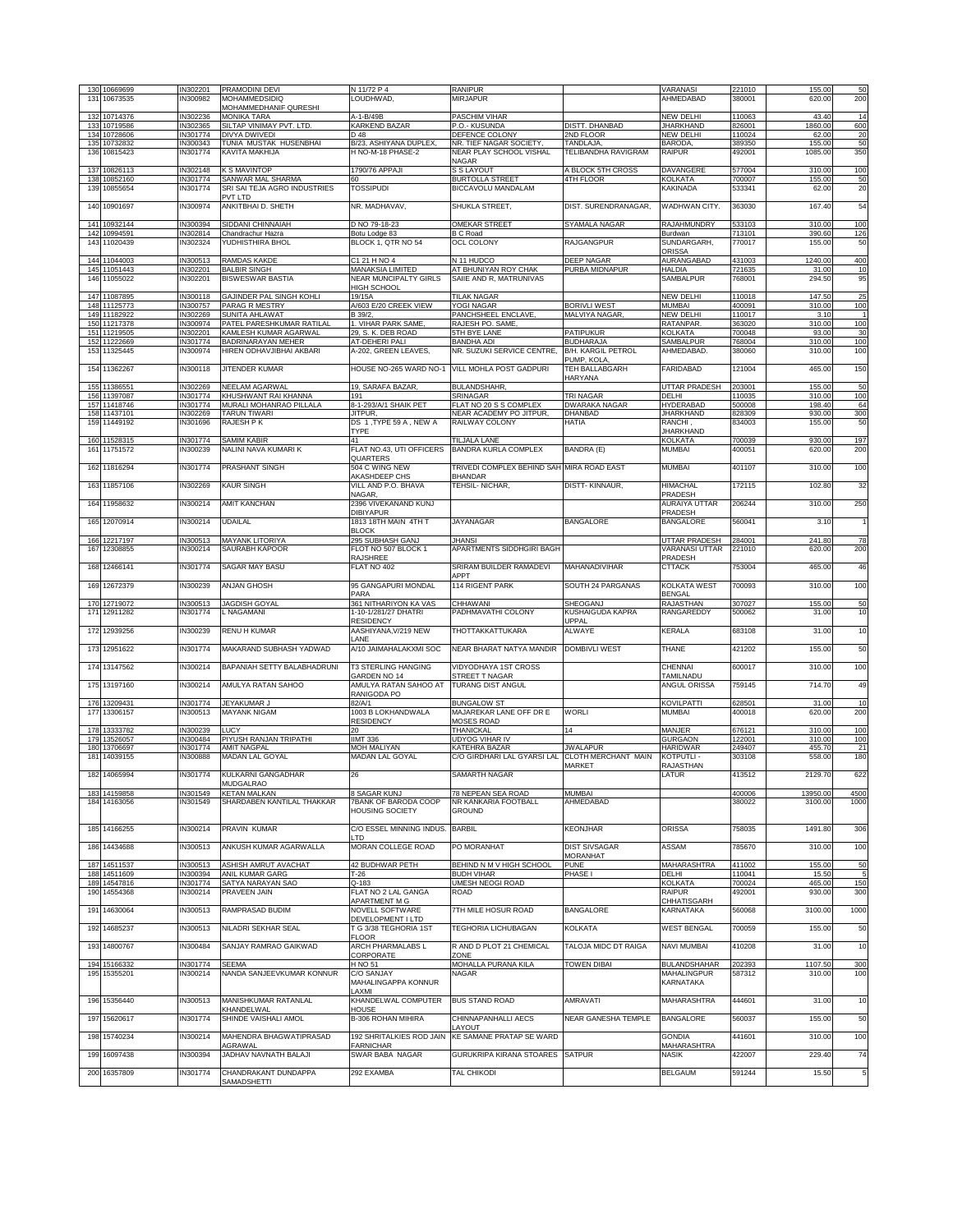| 130 10669699                 | IN302201             | PRAMODINI DEVI                                  | N 11/72 P 4                                             | <b>RANIPUR</b>                                       |                                          | <b>VARANASI</b>                | 221010           | 155.00            | 50           |
|------------------------------|----------------------|-------------------------------------------------|---------------------------------------------------------|------------------------------------------------------|------------------------------------------|--------------------------------|------------------|-------------------|--------------|
| 131 10673535                 | IN300982             | MOHAMMEDSIDIQ                                   | LOUDHWAD,                                               | MIRJAPUR                                             |                                          | AHMEDABAD                      | 380001           | 620.00            | 200          |
| 132 10714376                 | IN302236             | MOHAMMEDHANIF QURESHI<br><b>MONIKA TARA</b>     | A-1-B/49B                                               | PASCHIM VIHAR                                        |                                          | NEW DELHI                      | 110063           | 43.40             | 14           |
| 133 10719586                 | IN302365             | SILTAP VINIMAY PVT. LTD.                        | <b>KARKEND BAZAR</b>                                    | P.O.- KUSUNDA                                        | DISTT. DHANBAD                           | <b>JHARKHAND</b>               | 826001           | 1860.00           | 600          |
| 134 10728606                 | IN301774             | DIVYA DWIVEDI                                   | D 48                                                    | DEFENCE COLONY                                       | 2ND FLOOR                                | NEW DELHI                      | 110024           | 62.00             | 20           |
| 135 10732832<br>136 10815423 | IN300343<br>IN301774 | TUNIA MUSTAK HUSENBHAI<br>KAVITA MAKHIJA        | B/23, ASHIYANA DUPLEX.<br>H NO-M-18 PHASE-2             | NR. TIEF NAGAR SOCIETY,<br>NEAR PLAY SCHOOL VISHAL   | TANDLAJA,<br>TELIBANDHA RAVIGRAM         | <b>BARODA</b><br><b>RAIPUR</b> | 389350<br>492001 | 155.00<br>1085.00 | 50<br>350    |
|                              |                      |                                                 |                                                         | NAGAR                                                |                                          |                                |                  |                   |              |
| 137 10826113                 | IN302148             | K S MAVINTOP                                    | 1790/76 APPAJI                                          | S S LAYOUT                                           | A BLOCK 5TH CROSS                        | DAVANGERE                      | 577004           | 310.00            | 100          |
| 138 10852160                 | IN301774             | SANWAR MAL SHARMA                               | 60<br><b>TOSSIPUDI</b>                                  | <b>BURTOLLA STREET</b>                               | 4TH FLOOR                                | KOLKATA                        | 700007           | 155.00            | 50<br>20     |
| 139 10855654                 | IN301774             | SRI SAI TEJA AGRO INDUSTRIES<br>PVT LTD         |                                                         | BICCAVOLU MANDALAM                                   |                                          | KAKINADA                       | 533341           | 62.00             |              |
| 140 10901697                 | IN300974             | ANKITBHAI D. SHETH                              | NR. MADHAVAV,                                           | SHUKLA STREET,                                       | DIST. SURENDRANAGAR,                     | WADHWAN CITY.                  | 363030           | 167.40            | 54           |
|                              |                      |                                                 |                                                         |                                                      |                                          |                                |                  |                   |              |
| 141 10932144<br>142 10994591 | IN300394             | SIDDANI CHINNAIAH                               | D NO 79-18-23                                           | OMEKAR STREET                                        | SYAMALA NAGAR                            | <b>RAJAHMUNDRY</b>             | 533103           | 310.00            | 100          |
| 143 11020439                 | IN302814<br>IN302324 | Chandrachur Hazra<br>YUDHISTHIRA BHOL           | Botu Lodge 83<br>BLOCK 1, QTR NO 54                     | <b>B C Road</b><br>OCL COLONY                        | <b>RAJGANGPUR</b>                        | Burdwan<br>SUNDARGARH,         | 713101<br>770017 | 390.60<br>155.00  | 126<br>50    |
|                              |                      |                                                 |                                                         |                                                      |                                          | ORISSA                         |                  |                   |              |
| 144 11044003                 | IN300513             | RAMDAS KAKDE                                    | C1 21 H NO 4                                            | N 11 HUDCO                                           | <b>DEEP NAGAR</b>                        | AURANGABAD                     | 431003           | 1240.00           | 400          |
| 145 11051443<br>146 11055022 | IN302201<br>IN302201 | <b>BALBIR SINGH</b><br><b>BISWESWAR BASTIA</b>  | <b>MANAKSIA LIMITED</b><br><b>NEAR MUNCIPALTY GIRLS</b> | AT BHUNIYAN ROY CHAK<br>SAIIE AND R, MATRUNIVAS      | PURBA MIDNAPUR                           | <b>HALDIA</b><br>SAMBALPUR     | 721635<br>768001 | 31.00<br>294.50   | 10<br>95     |
|                              |                      |                                                 | <b>HIGH SCHOOL</b>                                      |                                                      |                                          |                                |                  |                   |              |
| 147 11087895                 | IN300118             | GAJINDER PAL SINGH KOHLI                        | 19/15A                                                  | <b>TILAK NAGAR</b>                                   |                                          | NEW DELHI                      | 110018           | 147.50            | 25           |
| 148 11125773                 | IN300757             | PARAG R MESTRY                                  | A/603 E/20 CREEK VIEW                                   | YOGI NAGAR                                           | <b>BORIVLI WEST</b>                      | MUMBAI                         | 400091           | 310.00            | 100          |
| 149 11182922<br>150 11217378 | IN302269<br>IN300974 | SUNITA AHLAWAT<br>PATEL PARESHKUMAR RATILAL     | B 39/2<br>1. VIHAR PARK SAME.                           | PANCHSHEEL ENCLAVE,<br>RAJESH PO. SAME,              | MALVIYA NAGAR,                           | NEW DELHI<br>RATANPAR.         | 110017<br>363020 | 3.10<br>310.00    | -1<br>100    |
| 151 11219505                 | IN302201             | KAMLESH KUMAR AGARWAL                           | 29, S. K. DEB ROAD                                      | 5TH BYE LANE                                         | PATIPUKUR                                | <b>KOLKATA</b>                 | 700048           | 93.00             | 30           |
| 152 11222669                 | IN301774             | BADRINARAYAN MEHER                              | AT-DEHERI PALI                                          | <b>BANDHA ADI</b>                                    | <b>BUDHARAJA</b>                         | SAMBALPUR                      | 768004           | 310.00            | 100          |
| 153 11325445                 | IN300974             | HIREN ODHAVJIBHAI AKBARI                        | A-202, GREEN LEAVES,                                    | NR. SUZUKI SERVICE CENTRE,                           | <b>B/H. KARGIL PETROL</b><br>PUMP, KOLA  | AHMEDABAD.                     | 380060           | 310.00            | 100          |
| 154 11362267                 | IN300118             | JITENDER KUMAR                                  | HOUSE NO-265 WARD NO-1                                  | VILL MOHLA POST GADPURI                              | TEH BALLABGARH                           | FARIDABAD                      | 121004           | 465.00            | 150          |
|                              |                      |                                                 |                                                         |                                                      | <b>HARYANA</b>                           |                                |                  |                   |              |
| 155 11386551                 | IN302269             | NEELAM AGARWAL                                  | 19, SARAFA BAZAR                                        | <b>BULANDSHAHR</b>                                   |                                          | <b>UTTAR PRADESH</b>           | 203001           | 155.00            | 50           |
| 156 11397087<br>157 11418746 | IN301774<br>IN301774 | KHUSHWANT RAI KHANNA<br>MURALI MOHANRAO PILLALA | 191<br>8-1-293/A/1 SHAIK PET                            | <b>SRINAGAR</b><br>FLAT NO 20 S S COMPLEX            | <b>TRI NAGAR</b><br><b>DWARAKA NAGAR</b> | DELHI<br><b>HYDERABAD</b>      | 110035<br>500008 | 310.00<br>198.40  | 100<br>64    |
| 158 11437101                 | IN302269             | TARUN TIWARI                                    | JITPUR,                                                 | NEAR ACADEMY PO JITPUR,                              | DHANBAD                                  | <b>JHARKHAND</b>               | 828309           | 930.00            | 300          |
| 159 11449192                 | IN301696             | RAJESH P K                                      | DS 1, TYPE 59 A, NEW A                                  | RAILWAY COLONY                                       | HATIA                                    | RANCHI,                        | 834003           | 155.00            | 50           |
|                              |                      | SAMIM KABIR                                     | <b>TYPE</b><br>41                                       |                                                      |                                          | <b>JHARKHAND</b>               |                  |                   |              |
| 160 11528315<br>161 11751572 | IN301774<br>IN300239 | NALINI NAVA KUMARI K                            | FLAT NO.43. UTI OFFICERS                                | TILJALA LANE<br><b>BANDRA KURLA COMPLEX</b>          | BANDRA (E)                               | KOLKATA<br><b>MUMBAI</b>       | 700039<br>400051 | 930.00<br>620.00  | 197<br>200   |
|                              |                      |                                                 | QUARTERS                                                |                                                      |                                          |                                |                  |                   |              |
| 162 11816294                 | IN301774             | PRASHANT SINGH                                  | 504 C WING NEW                                          | TRIVEDI COMPLEX BEHIND SAH MIRA ROAD EAST            |                                          | <b>MUMBAI</b>                  | 401107           | 310.00            | 100          |
|                              |                      |                                                 | AKASHDEEP CHS                                           | <b>BHANDAR</b>                                       |                                          |                                |                  |                   |              |
| 163 11857106                 | IN302269             | KAUR SINGH                                      | VILL AND P.O. BHAVA<br>NAGAR,                           | TEHSIL- NICHAR.                                      | DISTT-KINNAUR,                           | <b>HIMACHAL</b><br>PRADESH     | 172115           | 102.80            | 32           |
| 164 11958632                 | IN300214             | <b>AMIT KANCHAN</b>                             | 2396 VIVEKANAND KUNJ                                    |                                                      |                                          | AURAIYA UTTAR                  | 206244           | 310.00            | 250          |
|                              |                      |                                                 | <b>DIBIYAPUR</b>                                        |                                                      |                                          | PRADESH                        |                  |                   |              |
| 165 12070914                 | IN300214             | <b>UDAILAL</b>                                  | 1813 18TH MAIN 4TH T                                    | <b>JAYANAGAR</b>                                     | <b>BANGALORE</b>                         | <b>BANGALORE</b>               | 560041           | 3.10              | $\mathbf{1}$ |
| 166 12217197                 | IN300513             | <b>MAYANK LITORIYA</b>                          | <b>BLOCK</b><br>295 SUBHASH GANJ                        | <b>JHANSI</b>                                        |                                          | UTTAR PRADESH                  | 284001           | 241.80            | 78           |
| 167 12308855                 | IN300214             | SAURABH KAPOOR                                  | FLOT NO 507 BLOCK 1                                     | APARTMENTS SIDDHGIRI BAGH                            |                                          | VARANASI UTTAR                 | 221010           | 620.00            | 200          |
|                              |                      |                                                 | RAJSHREE                                                |                                                      |                                          | PRADESH                        |                  |                   |              |
| 168 12466141                 | IN301774             | SAGAR MAY BASU                                  | FLAT NO 402                                             | SRIRAM BUILDER RAMADEVI<br>APPT                      | MAHANADIVIHAR                            | <b>CTTACK</b>                  | 753004           | 465.00            | 46           |
| 169 12672379                 | IN300239             | ANJAN GHOSH                                     | 95 GANGAPURI MONDAL                                     | 114 RIGENT PARK                                      | SOUTH 24 PARGANAS                        | KOLKATA WEST                   | 700093           | 310.00            | 100          |
|                              |                      |                                                 | PARA                                                    |                                                      |                                          | BENGAL                         |                  |                   |              |
| 170 12719072                 | IN300513             | <b>JAGDISH GOYAL</b>                            | 361 NITHARIYON KA VAS                                   | <b>CHHAWANI</b>                                      | SHEOGANJ                                 | <b>RAJASTHAN</b>               | 307027           | 155.00            | 50           |
| 171 12911282                 | IN301774             | L NAGAMANI                                      | 1-10-1/281/27 DHATRI<br><b>RESIDENCY</b>                | PADHMAVATHI COLONY                                   | KUSHAIGUDA KAPRA<br>UPPAL                | RANGAREDDY                     | 500062           | 31.00             | 10           |
| 172 12939256                 | IN300239             | <b>RENU H KUMAR</b>                             | AASHIYANA, V/219 NEW                                    | THOTTAKKATTUKARA                                     | <b>ALWAYE</b>                            | KERALA                         | 683108           | 31.00             | 10           |
|                              |                      |                                                 | LANE                                                    |                                                      |                                          |                                |                  |                   |              |
| 173 12951622                 | IN301774             | MAKARAND SUBHASH YADWAD                         | A/10 JAIMAHALAKXMI SOC                                  | NEAR BHARAT NATYA MANDIR                             | <b>DOMBIVLI WEST</b>                     | THANE                          | 421202           | 155.00            | 50           |
| 174 13147562                 | IN300214             | BAPANIAH SETTY BALABHADRUNI                     | <b>T3 STERLING HANGING</b>                              | <b>VIDYODHAYA 1ST CROSS</b>                          |                                          | CHENNAI                        | 600017           | 310.00            | 100          |
|                              |                      |                                                 | GARDEN NO 14                                            | STREET T NAGAR                                       |                                          | TAMILNADU                      |                  |                   |              |
| 175 13197160                 | IN300214             | AMULYA RATAN SAHOO                              | AMULYA RATAN SAHOO AT                                   | TURANG DIST ANGUL                                    |                                          | ANGUL ORISSA                   | 759145           | 714.70            | 49           |
|                              |                      |                                                 | RANIGODA PO                                             |                                                      |                                          |                                |                  |                   |              |
| 176 13209431                 | IN301774             | JEYAKUMAR J<br><b>MAYANK NIGAM</b>              | 82/A/1<br>1003 B LOKHANDWALA                            | <b>BUNGALOW ST</b><br>MAJAREKAR LANE OFF DR E        | <b>WORLI</b>                             | <b>KOVILPATTI</b><br>MUMBAI    | 628501           | 31.00             | 10<br>200    |
| 177 13306157                 | IN300513             |                                                 | <b>RESIDENCY</b>                                        | MOSES ROAD                                           |                                          |                                | 400018           | 620.00            |              |
| 178 13333782                 | IN300239             | LUCY                                            | 20                                                      | THANICKAL                                            | 14                                       | MANJER                         | 676121           | 310.00            | 100          |
| 179 13526057                 | IN300484             | PIYUSH RANJAN TRIPATHI                          | <b>IIMT 336</b>                                         | <b>UDYOG VIHAR IV</b>                                |                                          | <b>GURGAON</b>                 | 122001           | 310.00            | 100          |
| 180 13706697<br>181 14039155 | IN301774<br>IN300888 | <b>AMIT NAGPAL</b><br><b>MADAN LAL GOYAL</b>    | <b>MOH MALIYAN</b><br>MADAN LAL GOYAL                   | KATEHRA BAZAR<br>C/O GIRDHARI LAL GYARSI LAL         | <b>JWALAPUR</b><br>CLOTH MERCHANT MAIN   | <b>HARIDWAR</b><br>KOTPUTLI -  | 249407<br>303108 | 455.70<br>558.00  | 21<br>180    |
|                              |                      |                                                 |                                                         |                                                      | MARKET                                   | RAJASTHAN                      |                  |                   |              |
| 182 14065994                 | IN301774             | KULKARNI GANGADHAR                              | 26                                                      | SAMARTH NAGAR                                        |                                          | LATUR                          | 413512           | 2129.70           | 622          |
| 183 14159858                 |                      | MUDGALRAO                                       | 8 SAGAR KUNJ                                            |                                                      | MUMBAI                                   |                                | 400006           | 13950.00          | 4500         |
| 184 14163056                 | IN301549<br>IN301549 | KETAN MALKAN<br>SHARDABEN KANTILAL THAKKAR      | 7BANK OF BARODA COOP                                    | 78 NEPEAN SEA ROAD<br>NR KANKARIA FOOTBALL           | AHMEDABAD                                |                                | 380022           | 3100.00           | 1000         |
|                              |                      |                                                 | <b>HOUSING SOCIETY</b>                                  | <b>GROUND</b>                                        |                                          |                                |                  |                   |              |
|                              |                      |                                                 |                                                         |                                                      |                                          |                                |                  |                   |              |
| 185 14166255                 | IN300214             | PRAVIN KUMAR                                    | C/O ESSEL MINNING INDUS.<br>LTD                         | <b>BARBIL</b>                                        | <b>KEONJHAR</b>                          | <b>ORISSA</b>                  | 758035           | 1491.80           | 306          |
| 186 14434688                 | IN300513             | ANKUSH KUMAR AGARWALLA                          | MORAN COLLEGE ROAD                                      | PO MORANHAT                                          | <b>DIST SIVSAGAR</b>                     | ASSAM                          | 785670           | 310.00            | 100          |
|                              |                      |                                                 |                                                         |                                                      | <b>MORANHAT</b>                          |                                |                  |                   |              |
| 187 14511537                 | IN300513             | ASHISH AMRUT AVACHAT                            | 42 BUDHWAR PETH                                         | <b>BEHIND N M V HIGH SCHOOL</b><br><b>BUDH VIHAR</b> | <b>PUNE</b>                              | <b>MAHARASHTRA</b>             | 411002           | 155.00            | 50           |
| 188 14511609<br>189 14547816 | IN300394<br>IN301774 | ANIL KUMAR GARG<br>SATYA NARAYAN SAO            | $T-26$<br>$Q - 183$                                     | UMESH NEOGI ROAD                                     | PHASE I                                  | DELHI<br><b>KOLKATA</b>        | 110041<br>700024 | 15.50<br>465.00   | 5<br>150     |
| 190 14554368                 | IN300214             | PRAVEEN JAIN                                    | FLAT NO 2 LAL GANGA                                     | <b>ROAD</b>                                          |                                          | RAIPUR                         | 492001           | 930.00            | 300          |
|                              |                      |                                                 | APARTMENT M G                                           |                                                      |                                          | CHHATISGARH                    |                  |                   |              |
| 191 14630064                 | IN300513             | RAMPRASAD BUDIM                                 | NOVELL SOFTWARE<br>DEVELOPMENT I LTD                    | 7TH MILE HOSUR ROAD                                  | <b>BANGALORE</b>                         | KARNATAKA                      | 560068           | 3100.00           | 1000         |
| 192 14685237                 | IN300513             | NILADRI SEKHAR SEAL                             | T G 3/38 TEGHORIA 1ST                                   | TEGHORIA LICHUBAGAN                                  | KOLKATA                                  | <b>WEST BENGAL</b>             | 700059           | 155.00            | 50           |
|                              |                      |                                                 | <b>FLOOR</b>                                            |                                                      |                                          |                                |                  |                   |              |
| 193 14800767                 | IN300484             | SANJAY RAMRAO GAIKWAD                           | ARCH PHARMALABS L                                       | R AND D PLOT 21 CHEMICAL                             | TALOJA MIDC DT RAIGA                     | <b>NAVI MUMBAI</b>             | 410208           | 31.00             | 10           |
| 194 15166332                 | IN301774             | SEEMA                                           | CORPORATE<br><b>H NO 51</b>                             | 70NF<br>MOHALLA PURANA KILA                          | <b>TOWEN DIBAI</b>                       | <b>BULANDSHAHAR</b>            | 202393           | 1107.50           | 300          |
| 195 15355201                 | IN300214             | NANDA SANJEEVKUMAR KONNUR                       | C/O SANJAY                                              | NAGAR                                                |                                          | MAHALINGPUR                    | 587312           | 310.00            | 100          |
|                              |                      |                                                 | MAHALINGAPPA KONNUR                                     |                                                      |                                          | KARNATAKA                      |                  |                   |              |
|                              |                      |                                                 | LAXMI                                                   |                                                      |                                          |                                |                  |                   |              |
| 196 15356440                 | IN300513             | MANISHKUMAR RATANLAL<br>KHANDELWAL              | KHANDELWAL COMPUTER<br><b>HOUSE</b>                     | <b>BUS STAND ROAD</b>                                | AMRAVATI                                 | <b>MAHARASHTRA</b>             | 444601           | 31.00             | 10           |
| 197 15620617                 | IN301774             | SHINDE VAISHALI AMOL                            | <b>B-306 ROHAN MIHIRA</b>                               | CHINNAPANHALLI AECS                                  | NEAR GANESHA TEMPLE                      | <b>BANGALORE</b>               | 560037           | 155.00            | 50           |
|                              |                      |                                                 |                                                         | AYOUT                                                |                                          |                                |                  |                   |              |
| 198 15740234                 | IN300214             | MAHENDRA BHAGWATIPRASAD                         | <b>FARNICHAR</b>                                        | 192 SHRITALKIES ROD JAIN KE SAMANE PRATAP SE WARD    |                                          | <b>GONDIA</b><br>MAHARASHTRA   | 441601           | 310.00            | 100          |
|                              |                      | AGRAWAL<br>JADHAV NAVNATH BALAJI                | SWAR BABA NAGAR                                         | GURUKRIPA KIRANA STOARES SATPUR                      |                                          | <b>NASIK</b>                   | 422007           | 229.40            | 74           |
|                              |                      |                                                 |                                                         |                                                      |                                          |                                |                  |                   |              |
| 199 16097438                 | IN300394             |                                                 |                                                         |                                                      |                                          |                                |                  |                   |              |
| 200 16357809                 | IN301774             | CHANDRAKANT DUNDAPPA<br>SAMADSHETTI             | 292 EXAMBA                                              | TAL CHIKODI                                          |                                          | <b>BELGAUM</b>                 | 591244           | 15.50             | $\mathbf 5$  |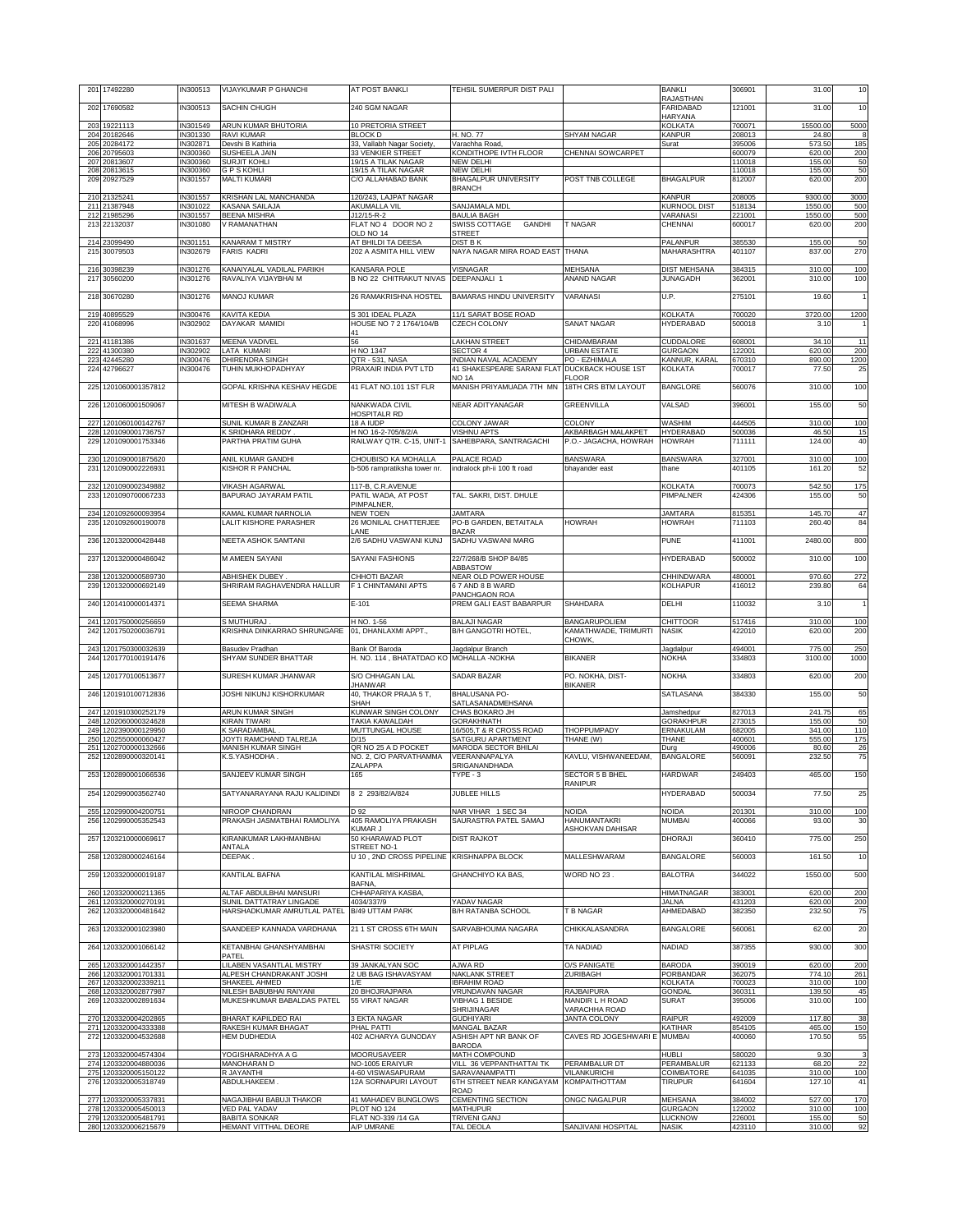|            | 201 17492280                                 | IN300513             | VIJAYKUMAR P GHANCHI                                | AT POST BANKLI                                           | TEHSIL SUMERPUR DIST PALI                          |                                       | <b>BANKLI</b><br><b>RAJASTHAN</b>    | 306901           | 31.00              | 10           |
|------------|----------------------------------------------|----------------------|-----------------------------------------------------|----------------------------------------------------------|----------------------------------------------------|---------------------------------------|--------------------------------------|------------------|--------------------|--------------|
| 202        | 17690582                                     | IN300513             | SACHIN CHUGH                                        | 240 SGM NAGAR                                            |                                                    |                                       | <b>FARIDABAD</b>                     | 121001           | 31.00              | 10           |
|            | 203 19221113                                 | IN301549             | ARUN KUMAR BHUTORIA                                 | 10 PRETORIA STREET                                       |                                                    |                                       | <b>HARYANA</b><br><b>KOLKATA</b>     | 700071           | 15500.00           | 5000         |
|            | 204 20182646<br>205 20284172                 | IN301330<br>IN302871 | <b>RAVI KUMAR</b><br>Devshi B Kathiria              | <b>BLOCK D</b><br>33, Vallabh Nagar Society,             | H. NO. 77<br>Varachha Road                         | SHYAM NAGAR                           | <b>KANPUR</b><br>Surat               | 208013<br>395006 | 24.80<br>573.50    | 8<br>185     |
|            | 206 20795603                                 | IN300360             | SUSHEELA JAIN                                       | 33 VENKIER STREET                                        | KONDITHOPE IVTH FLOOR                              | CHENNAI SOWCARPET                     |                                      | 600079           | 620.00             | 200          |
|            | 207 20813607<br>208 20813615                 | IN300360<br>IN300360 | SURJIT KOHLI<br><b>GPSKOHLI</b>                     | 19/15 A TILAK NAGAR<br>19/15 A TILAK NAGAR               | <b>NEW DELHI</b><br><b>NEW DELHI</b>               |                                       |                                      | 110018<br>110018 | 155.00<br>155.00   | 50<br>50     |
|            | 209 209 275 29                               | IN301557             | <b>MALTI KUMARI</b>                                 | C/O ALLAHABAD BANK                                       | <b>BHAGALPUR UNIVERSITY</b><br><b>BRANCH</b>       | POST TNB COLLEGE                      | <b>BHAGALPUR</b>                     | 812007           | 620.00             | 200          |
|            | 210 21325241<br>211 21387948                 | IN301557<br>IN301022 | KRISHAN LAL MANCHANDA<br>KASANA SAILAJA             | 120/243, LAJPAT NAGAR<br><b>AKUMALLA VIL</b>             | SANJAMALA MDL                                      |                                       | <b>KANPUR</b><br><b>KURNOOL DIST</b> | 208005<br>518134 | 9300.00<br>1550.00 | 3000<br>500  |
|            | 212 21985296                                 | IN301557             | <b>BEENA MISHRA</b>                                 | J12/15-R-2                                               | <b>BAULIA BAGH</b>                                 |                                       | VARANASI                             | 221001           | 1550.00            | 500          |
|            | 213 22132037                                 | IN301080             | V RAMANATHAN                                        | FLAT NO 4 DOOR NO 2<br>OLD NO 14                         | SWISS COTTAGE<br><b>GANDHI</b><br>STREET           | T NAGAR                               | CHENNAI                              | 600017           | 620.00             | 200          |
|            | 214 23099490<br>215 30079503                 | IN301151<br>IN302679 | <b>KANARAM T MISTRY</b><br><b>FARIS KADRI</b>       | AT BHILDI TA DEESA<br>202 A ASMITA HILL VIEW             | <b>DIST B K</b><br>NAYA NAGAR MIRA ROAD EAST THANA |                                       | PALANPUR<br>MAHARASHTRA              | 385530<br>401107 | 155.00<br>837.00   | 50<br>270    |
|            |                                              |                      |                                                     |                                                          |                                                    |                                       |                                      |                  |                    |              |
|            | 216 30398239<br>217 30560200                 | IN301276<br>IN301276 | KANAIYALAL VADILAL PARIKH<br>RAVALIYA VIJAYBHAI M   | <b>KANSARA POLE</b><br>B NO 22 CHITRAKUT NIVAS           | VISNAGAR<br>DEEPANJALI 1                           | MEHSANA<br>ANAND NAGAR                | <b>DIST MEHSANA</b><br>JUNAGADH      | 384315<br>362001 | 310.00<br>310.00   | 100<br>100   |
|            | 218 30670280                                 | IN301276             | <b>MANOJ KUMAR</b>                                  | 26 RAMAKRISHNA HOSTEL                                    | <b>BAMARAS HINDU UNIVERSITY</b>                    | VARANASI                              | U.P.                                 | 275101           | 19.60              | $\mathbf{1}$ |
| 219        | 40895529                                     | IN300476             | KAVITA KEDIA                                        | S 301 IDEAL PLAZA                                        | 11/1 SARAT BOSE ROAD                               |                                       | <b>KOLKATA</b>                       | 700020           | 3720.00            | 1200         |
| 220        | 41068996                                     | IN302902             | DAYAKAR MAMIDI                                      | HOUSE NO 7 2 1764/104/B                                  | <b>CZECH COLONY</b>                                | SANAT NAGAR                           | <b>HYDERABAD</b>                     | 500018           | 3.10               |              |
|            | 221 41181386                                 | IN301637             | <b>MEENA VADIVEL</b>                                | 41<br>56                                                 | <b>LAKHAN STREET</b>                               | CHIDAMBARAM                           | CUDDALORE                            | 608001           | 34.10              | 11           |
|            | 222 41300380<br>223 42445280                 | IN302902<br>IN300476 | <b>LATA KUMARI</b><br>DHIRENDRA SINGH               | H NO 1347<br>QTR - 531, NASA                             | <b>SECTOR 4</b><br>INDIAN NAVAL ACADEMY            | <b>URBAN ESTATE</b><br>PO - EZHIMALA  | <b>GURGAON</b><br>KANNUR, KARAL      | 122001<br>670310 | 620.00<br>890.00   | 200<br>1200  |
|            | 224 42796627                                 | IN300476             | TUHIN MUKHOPADHYAY                                  | PRAXAIR INDIA PVT LTD                                    | 41 SHAKESPEARE SARANI FLAT                         | <b>DUCKBACK HOUSE 1ST</b>             | <b>KOLKATA</b>                       | 700017           | 77.50              | 25           |
| 225        | 1201060001357812                             |                      | GOPAL KRISHNA KESHAV HEGDE                          | 41 FLAT NO.101 1ST FLR                                   | NO 1A<br>MANISH PRIYAMUADA 7TH MN                  | FLOOR<br>18TH CRS BTM LAYOUT          | <b>BANGLORE</b>                      | 560076           | 310.00             | 100          |
| 226        | 1201060001509067                             |                      | MITESH B WADIWALA                                   | NANKWADA CIVIL                                           | NEAR ADITYANAGAR                                   | GREENVILLA                            | VALSAD                               | 396001           | 155.00             | 50           |
| 227        | 1201060100142767                             |                      | SUNIL KUMAR B ZANZARI                               | HOSPITALR RD<br>18 A IUDP                                | COLONY JAWAR                                       | COLONY                                | WASHIM                               | 444505           | 310.00             | 100          |
| 228        | 1201090001736757                             |                      | K SRIDHARA REDDY                                    | H NO 16-2-705/8/2/A                                      | <b>VISHNU APTS</b>                                 | AKBARBAGH MALAKPET                    | <b>HYDERABAD</b>                     | 500036           | 46.50              | 15           |
| 229        | 1201090001753346                             |                      | PARTHA PRATIM GUHA                                  | RAILWAY QTR. C-15, UNIT-1                                | SAHEBPARA, SANTRAGACHI                             | P.O.- JAGACHA, HOWRAH                 | <b>HOWRAH</b>                        | 711111           | 124.00             | 40           |
| 230<br>231 | 1201090001875620<br>1201090002226931         |                      | ANIL KUMAR GANDHI<br>KISHOR R PANCHAL               | CHOUBISO KA MOHALLA<br>b-506 rampratiksha tower nr.      | PALACE ROAD<br>indralock ph-ii 100 ft road         | <b>BANSWARA</b><br>bhayander east     | <b>BANSWARA</b><br>thane             | 327001<br>401105 | 310.00<br>161.20   | 100<br>52    |
|            |                                              |                      |                                                     |                                                          |                                                    |                                       |                                      |                  |                    |              |
| 232<br>233 | 1201090002349882<br>1201090700067233         |                      | <b>VIKASH AGARWAL</b><br>BAPURAO JAYARAM PATIL      | 117-B, C.R.AVENUE<br>PATIL WADA, AT POST                 | TAL. SAKRI, DIST. DHULE                            |                                       | <b>KOLKATA</b><br>PIMPALNER          | 700073<br>424306 | 542.50<br>155.00   | 175<br>50    |
|            | 234 1201092600093954                         |                      | KAMAL KUMAR NARNOLIA                                | PIMPALNER.<br><b>NEW TOEN</b>                            | <b>JAMTARA</b>                                     |                                       | <b>JAMTARA</b>                       | 815351           | 145.70             | 47           |
|            | 235 1201092600190078                         |                      | LALIT KISHORE PARASHER                              | 26 MONILAL CHATTERJEE                                    | PO-B GARDEN, BETAITALA                             | <b>HOWRAH</b>                         | <b>HOWRAH</b>                        | 711103           | 260.40             | 84           |
| 236        | 1201320000428448                             |                      | <b>NEETA ASHOK SAMTANI</b>                          | <b>LANF</b><br>2/6 SADHU VASWANI KUNJ                    | <b>BAZAR</b><br>SADHU VASWANI MARG                 |                                       | PUNE                                 | 411001           | 2480.00            | 800          |
| 237        | 1201320000486042                             |                      | M AMEEN SAYANI                                      | SAYANI FASHIONS                                          | 22/7/268/B SHOP 84/85                              |                                       | <b>HYDERABAD</b>                     | 500002           | 310.00             | 100          |
|            |                                              |                      |                                                     |                                                          | ABBASTOW                                           |                                       |                                      |                  |                    |              |
| 238<br>239 | 1201320000589730<br>1201320000692149         |                      | <b>ABHISHEK DUBEY</b><br>SHRIRAM RAGHAVENDRA HALLUR | CHHOTI BAZAR<br>F 1 CHINTAMANI APTS                      | NEAR OLD POWER HOUSE<br>67 AND 8 B WARD            |                                       | CHHINDWARA<br>KOLHAPUR               | 480001<br>416012 | 970.60<br>239.80   | 272<br>64    |
| 240        | 1201410000014371                             |                      | <b>SEEMA SHARMA</b>                                 | $E-101$                                                  | PANCHGAON ROA<br>PREM GALI EAST BABARPUR           | <b>SHAHDARA</b>                       | DELHI                                | 110032           | 3.10               | $\mathbf{1}$ |
|            |                                              |                      |                                                     |                                                          |                                                    |                                       |                                      |                  |                    |              |
| 241        | 1201750000256659<br>242 1201750200036791     |                      | S MUTHURAJ<br>KRISHNA DINKARRAO SHRUNGARE           | H NO. 1-56<br>01, DHANLAXMI APPT.,                       | <b>BALAJI NAGAR</b><br>B/H GANGOTRI HOTEL,         | BANGARUPOLIEM<br>KAMATHWADE, TRIMURTI | <b>CHITTOOR</b><br><b>NASIK</b>      | 517416<br>422010 | 310.00<br>620.00   | 100<br>200   |
| 243        | 1201750300032639                             |                      | <b>Basudev Pradhan</b>                              | Bank Of Baroda                                           | Jagdalpur Branch                                   | CHOWK,                                | Jagdalpur                            | 494001           | 775.00             | 250          |
| 244        | 1201770100191476                             |                      | SHYAM SUNDER BHATTAR                                | H. NO. 114, BHATATDAO KO MOHALLA - NOKHA                 |                                                    | <b>BIKANER</b>                        | <b>NOKHA</b>                         | 334803           | 3100.00            | 1000         |
| 245        | 1201770100513677                             |                      | SURESH KUMAR JHANWAR                                | S/O CHHAGAN LAL<br><b>JHANWAR</b>                        | <b>SADAR BAZAR</b>                                 | PO. NOKHA, DIST-<br><b>BIKANER</b>    | <b>NOKHA</b>                         | 334803           | 620.00             | 200          |
| 246        | 1201910100712836                             |                      | JOSHI NIKUNJ KISHORKUMAR                            | 40, THAKOR PRAJA 5 T,                                    | BHALUSANA PO-                                      |                                       | SATLASANA                            | 384330           | 155.00             | 50           |
| 247        | 1201910300252179                             |                      | ARUN KUMAR SINGH                                    | SHAH<br>KUNWAR SINGH COLONY                              | SATLASANADMEHSANA<br>CHAS BOKARO JH                |                                       | Jamshedpur                           | 827013           | 241.75             | 65           |
| 248        | 1202060000324628<br>249 1202390000129950     |                      | <b>KIRAN TIWARI</b><br><b>K SARADAMBAL</b>          | TAKIA KAWALDAH<br>MUTTUNGAL HOUSE                        | GORAKHNATH<br>16/505, T & R CROSS ROAD             | <b>THOPPUMPADY</b>                    | <b>GORAKHPUR</b><br>ERNAKULAM        | 273015<br>682005 | 155.00<br>341.00   | 50<br>110    |
|            | 250 1202550000060427                         |                      | JOYTI RAMCHAND TALREJA                              | D/15                                                     | SATGURU APARTMENT                                  | THANE (W)                             | THANE                                | 400601           | 555.00             | 175          |
| 252        | 251 1202700000132666<br>1202890000320141     |                      | MANISH KUMAR SINGH<br>K.S.YASHODHA                  | QR NO 25 A D POCKET<br>NO. 2, C/O PARVATHAMMA            | MARODA SECTOR BHILAI<br>VEERANNAPALYA              | KAVLU, VISHWANEEDAM,                  | Durg<br><b>BANGALORE</b>             | 490006<br>560091 | 80.60<br>232.50    | 26<br>75     |
|            | 253 1202890001066536                         |                      | SANJEEV KUMAR SINGH                                 | ZALAPPA<br>165                                           | SRIGANANDHADA<br>TYPE - 3                          | SECTOR 5 B BHEL                       | <b>HARDWAR</b>                       | 249403           | 465.00             | 150          |
|            |                                              |                      |                                                     |                                                          |                                                    | <b>RANIPUR</b>                        |                                      |                  |                    |              |
|            | 254 1202990003562740                         |                      | SATYANARAYANA RAJU KALIDINDI                        | 8 2 293/82/A/824                                         | JUBLEE HILLS                                       |                                       | <b>HYDERABAD</b>                     | 500034           | 77.50              | 25           |
| 255<br>256 | 1202990004200751<br>1202990005352543         |                      | NIROOP CHANDRAN<br>PRAKASH JASMATBHAI RAMOLIYA      | D 92<br>405 RAMOLIYA PRAKASH                             | NAR VIHAR 1 SEC 34<br>SAURASTRA PATEL SAMAJ        | <b>NOIDA</b><br><b>HANUMANTAKRI</b>   | <b>NOIDA</b><br><b>MUMBAI</b>        | 201301<br>400066 | 310.00<br>93.00    | 100<br>30    |
| 257        | 1203210000069617                             |                      | KIRANKUMAR LAKHMANBHAI                              | <b>KUMAR J</b><br>50 KHARAWAD PLOT                       | <b>DIST RAJKOT</b>                                 | ASHOKVAN DAHISAR                      | DHORAJI                              | 360410           | 775.00             | 250          |
| 258        | 1203280000246164                             |                      | ANTALA<br>DEEPAK.                                   | STREET NO-1<br>U 10. 2ND CROSS PIPELINE KRISHNAPPA BLOCK |                                                    | <b>MALLESHWARAM</b>                   | <b>BANGALORE</b>                     | 560003           | 161.50             | 10           |
|            |                                              |                      |                                                     |                                                          |                                                    |                                       |                                      |                  |                    |              |
| 259        | 1203320000019187                             |                      | KANTILAL BAFNA                                      | KANTILAL MISHRIMAL<br>BAFNA,                             | <b>GHANCHIYO KA BAS,</b>                           | WORD NO 23.                           | <b>BALOTRA</b>                       | 344022           | 1550.00            | 500          |
| 261        | 260 1203320000211365<br>1203320000270191     |                      | ALTAF ABDULBHAI MANSURI<br>SUNIL DATTATRAY LINGADE  | CHHAPARIYA KASBA,<br>4034/337/9                          | YADAV NAGAR                                        |                                       | <b>HIMATNAGAR</b><br>JALNA           | 383001<br>431203 | 620.00<br>620.00   | 200<br>200   |
| 262        | 1203320000481642                             |                      | HARSHADKUMAR AMRUTLAL PATEL                         | <b>B/49 UTTAM PARK</b>                                   | <b>B/H RATANBA SCHOOL</b>                          | <b>T B NAGAR</b>                      | AHMEDABAD                            | 382350           | 232.50             | 75           |
| 263        | 1203320001023980                             |                      | SAANDEEP KANNADA VARDHANA                           | 21 1 ST CROSS 6TH MAIN                                   | SARVABHOUMA NAGARA                                 | CHIKKALASANDRA                        | <b>BANGALORE</b>                     | 560061           | 62.00              | 20           |
| 264        | 1203320001066142                             |                      | KETANBHAI GHANSHYAMBHAI                             | SHASTRI SOCIETY                                          | AT PIPLAG                                          | TA NADIAD                             | <b>NADIAD</b>                        | 387355           | 930.00             | 300          |
| 265        | 1203320001442357                             |                      | PATEL<br><b>LILABEN VASANTLAL MISTRY</b>            | 39 JANKALYAN SOC                                         | AJWA RD                                            | O/S PANIGATE                          | <b>BARODA</b>                        | 390019           | 620.00             | 200          |
|            | 266 1203320001701331                         |                      | ALPESH CHANDRAKANT JOSHI                            | 2 UB BAG ISHAVASYAM                                      | <b>NAKLANK STREET</b>                              | ZURIBAGH                              | PORBANDAR                            | 362075           | 774.10             | 261          |
|            | 267 1203320002339211<br>268 1203320002877987 |                      | SHAKEEL AHMED<br>NILESH BABUBHAI RAIYANI            | 1/E<br>20 BHOJRAJPARA                                    | <b>IBRAHIM ROAD</b><br>VRUNDAVAN NAGAR             | RAJBAIPURA                            | <b>KOLKATA</b><br><b>GONDAL</b>      | 700023<br>360311 | 310.00<br>139.50   | 100<br>45    |
| 269        | 1203320002891634                             |                      | MUKESHKUMAR BABALDAS PATEL                          | 55 VIRAT NAGAR                                           | VIBHAG 1 BESIDE<br>SHRIJINAGAR                     | MANDIR L H ROAD<br>VARACHHA ROAD      | <b>SURAT</b>                         | 395006           | 310.00             | 100          |
|            | 270 1203320004202865                         |                      | BHARAT KAPILDEO RAI                                 | 3 EKTA NAGAR                                             | <b>GUDHIYARI</b>                                   | <b>JANTA COLONY</b>                   | <b>RAIPUR</b>                        | 492009           | 117.80             | 38           |
| 272        | 271 1203320004333388<br>1203320004532688     |                      | RAKESH KUMAR BHAGAT<br>HEM DUDHEDIA                 | PHAL PATTI<br>402 ACHARYA GUNODAY                        | <b>MANGAL BAZAR</b><br>ASHISH APT NR BANK OF       | CAVES RD JOGESHWARI E MUMBAI          | KATIHAR                              | 854105<br>400060 | 465.00<br>170.50   | 150<br>55    |
|            | 273 1203320004574304                         |                      | YOGISHARADHYA A G                                   | <b>MOORUSAVEER</b>                                       | <b>BARODA</b><br>MATH COMPOUND                     |                                       | <b>HUBLI</b>                         | 580020           | 9.30               | $\mathbf{3}$ |
|            | 274 1203320004880036<br>275 1203320005150122 |                      | MANOHARAN D<br>R JAYANTHI                           | NO-1005 ERAIYUR<br>4-60 VISWASAPURAM                     | VILL 36 VEPPANTHATTAI TK<br>SARAVANAMPATTI         | PERAMBALUR DT<br><b>VILANKURICHI</b>  | PERAMBALUR<br>COIMBATORE             | 621133<br>641035 | 68.20<br>310.00    | 22<br>100    |
|            | 276 1203320005318749                         |                      | ABDULHAKEEM.                                        | 12A SORNAPURI LAYOUT                                     | 6TH STREET NEAR KANGAYAM                           | <b>KOMPAITHOTTAM</b>                  | <b>TIRUPUR</b>                       | 641604           | 127.10             | 41           |
|            | 277 1203320005337831                         |                      | NAGAJIBHAI BABUJI THAKOR                            | 41 MAHADEV BUNGLOWS                                      | ROAD<br>CEMENTING SECTION                          | <b>ONGC NAGALPUR</b>                  | <b>MEHSANA</b>                       | 384002           | 527.00             | 170          |
|            | 278 1203320005450013<br>279 1203320005481791 |                      | <b>VED PAL YADAV</b><br><b>BABITA SONKAR</b>        | PLOT NO 124<br>FLAT NO-339 /14 GA                        | <b>MATHUPUR</b><br><b>TRIVENI GANJ</b>             |                                       | <b>GURGAON</b><br><b>LUCKNOW</b>     | 122002<br>226001 | 310.00<br>155.00   | 100<br>50    |
|            | 280 1203320006215679                         |                      | HEMANT VITTHAL DEORE                                | A/P UMRANE                                               | TAL DEOLA                                          | SANJIVANI HOSPITAL                    | <b>NASIK</b>                         | 423110           | 310.00             | 92           |